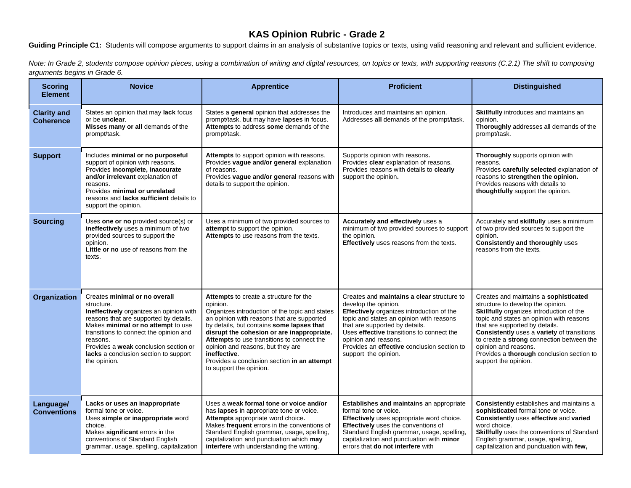## **KAS Opinion Rubric - Grade 2**

Guiding Principle C1: Students will compose arguments to support claims in an analysis of substantive topics or texts, using valid reasoning and relevant and sufficient evidence.

*Note: In Grade 2, students compose opinion pieces, using a combination of writing and digital resources, on topics or texts, with supporting reasons (C.2.1) The shift to composing arguments begins in Grade 6.*

| <b>Scoring</b><br><b>Element</b>       | <b>Novice</b>                                                                                                                                                                                                                                                                                                                  | <b>Apprentice</b>                                                                                                                                                                                                                                                                                                                                                                                                          | <b>Proficient</b>                                                                                                                                                                                                                                                                                                                         | <b>Distinguished</b>                                                                                                                                                                                                                                                                                                                                                                         |
|----------------------------------------|--------------------------------------------------------------------------------------------------------------------------------------------------------------------------------------------------------------------------------------------------------------------------------------------------------------------------------|----------------------------------------------------------------------------------------------------------------------------------------------------------------------------------------------------------------------------------------------------------------------------------------------------------------------------------------------------------------------------------------------------------------------------|-------------------------------------------------------------------------------------------------------------------------------------------------------------------------------------------------------------------------------------------------------------------------------------------------------------------------------------------|----------------------------------------------------------------------------------------------------------------------------------------------------------------------------------------------------------------------------------------------------------------------------------------------------------------------------------------------------------------------------------------------|
| <b>Clarity and</b><br><b>Coherence</b> | States an opinion that may lack focus<br>or be <b>unclear</b> .<br>Misses many or all demands of the<br>prompt/task.                                                                                                                                                                                                           | States a general opinion that addresses the<br>prompt/task, but may have lapses in focus.<br>Attempts to address some demands of the<br>prompt/task.                                                                                                                                                                                                                                                                       | Introduces and maintains an opinion.<br>Addresses all demands of the prompt/task.                                                                                                                                                                                                                                                         | Skillfully introduces and maintains an<br>opinion.<br>Thoroughly addresses all demands of the<br>prompt/task.                                                                                                                                                                                                                                                                                |
| <b>Support</b>                         | Includes minimal or no purposeful<br>support of opinion with reasons.<br>Provides incomplete, inaccurate<br>and/or irrelevant explanation of<br>reasons.<br>Provides minimal or unrelated<br>reasons and lacks sufficient details to<br>support the opinion.                                                                   | Attempts to support opinion with reasons.<br>Provides vague and/or general explanation<br>of reasons.<br>Provides vague and/or general reasons with<br>details to support the opinion.                                                                                                                                                                                                                                     | Supports opinion with reasons.<br>Provides clear explanation of reasons.<br>Provides reasons with details to clearly<br>support the opinion.                                                                                                                                                                                              | Thoroughly supports opinion with<br>reasons.<br>Provides carefully selected explanation of<br>reasons to strengthen the opinion.<br>Provides reasons with details to<br>thoughtfully support the opinion.                                                                                                                                                                                    |
| <b>Sourcing</b>                        | Uses one or no provided source(s) or<br>ineffectively uses a minimum of two<br>provided sources to support the<br>opinion.<br>Little or no use of reasons from the<br>texts.                                                                                                                                                   | Uses a minimum of two provided sources to<br>attempt to support the opinion.<br>Attempts to use reasons from the texts.                                                                                                                                                                                                                                                                                                    | <b>Accurately and effectively</b> uses a<br>minimum of two provided sources to support<br>the opinion.<br>Effectively uses reasons from the texts.                                                                                                                                                                                        | Accurately and skillfully uses a minimum<br>of two provided sources to support the<br>opinion.<br><b>Consistently and thoroughly uses</b><br>reasons from the texts.                                                                                                                                                                                                                         |
| Organization                           | Creates minimal or no overall<br>structure.<br>Ineffectively organizes an opinion with<br>reasons that are supported by details.<br>Makes minimal or no attempt to use<br>transitions to connect the opinion and<br>reasons.<br>Provides a weak conclusion section or<br>lacks a conclusion section to support<br>the opinion. | Attempts to create a structure for the<br>opinion.<br>Organizes introduction of the topic and states<br>an opinion with reasons that are supported<br>by details, but contains some lapses that<br>disrupt the cohesion or are inappropriate.<br>Attempts to use transitions to connect the<br>opinion and reasons, but they are<br>ineffective.<br>Provides a conclusion section in an attempt<br>to support the opinion. | Creates and maintains a clear structure to<br>develop the opinion.<br>Effectively organizes introduction of the<br>topic and states an opinion with reasons<br>that are supported by details.<br>Uses effective transitions to connect the<br>opinion and reasons.<br>Provides an effective conclusion section to<br>support the opinion. | Creates and maintains a sophisticated<br>structure to develop the opinion.<br>Skillfully organizes introduction of the<br>topic and states an opinion with reasons<br>that are supported by details.<br>Consistently uses a variety of transitions<br>to create a strong connection between the<br>opinion and reasons.<br>Provides a thorough conclusion section to<br>support the opinion. |
| Language/<br><b>Conventions</b>        | Lacks or uses an inappropriate<br>formal tone or voice.<br>Uses simple or inappropriate word<br>choice.<br>Makes significant errors in the<br>conventions of Standard English<br>grammar, usage, spelling, capitalization                                                                                                      | Uses a weak formal tone or voice and/or<br>has lapses in appropriate tone or voice.<br>Attempts appropriate word choice.<br>Makes frequent errors in the conventions of<br>Standard English grammar, usage, spelling,<br>capitalization and punctuation which may<br>interfere with understanding the writing.                                                                                                             | Establishes and maintains an appropriate<br>formal tone or voice.<br>Effectively uses appropriate word choice.<br>Effectively uses the conventions of<br>Standard English grammar, usage, spelling<br>capitalization and punctuation with minor<br>errors that do not interfere with                                                      | Consistently establishes and maintains a<br>sophisticated formal tone or voice.<br>Consistently uses effective and varied<br>word choice.<br>Skillfully uses the conventions of Standard<br>English grammar, usage, spelling,<br>capitalization and punctuation with few,                                                                                                                    |